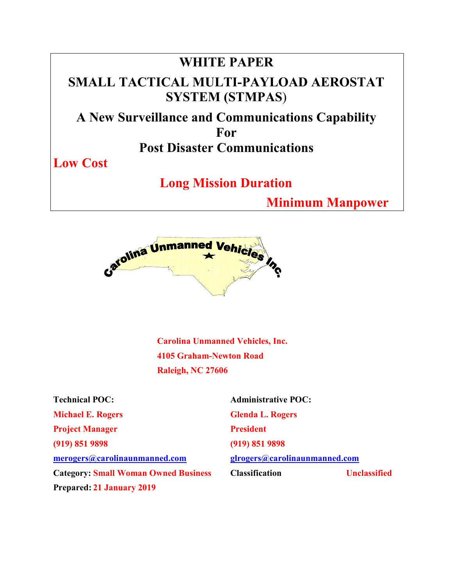# **WHITE PAPER SMALL TACTICAL MULTI-PAYLOAD AEROSTAT SYSTEM (STMPAS**) **A New Surveillance and Communications Capability For Post Disaster Communications Low Cost**

 **Long Mission Duration** 

 **Minimum Manpower** 



**Carolina Unmanned Vehicles, Inc. 4105 Graham-Newton Road Raleigh, NC 27606** 

| <b>Technical POC:</b>                       | <b>Administrative POC:</b>    |                     |
|---------------------------------------------|-------------------------------|---------------------|
| <b>Michael E. Rogers</b>                    | <b>Glenda L. Rogers</b>       |                     |
| <b>Project Manager</b>                      | <b>President</b>              |                     |
| (919) 851 9898                              | (919) 851 9898                |                     |
| merogers@carolinaunmanned.com               | glrogers@carolinaunmanned.com |                     |
| <b>Category: Small Woman Owned Business</b> | <b>Classification</b>         | <b>Unclassified</b> |
| <b>Prepared: 21 January 2019</b>            |                               |                     |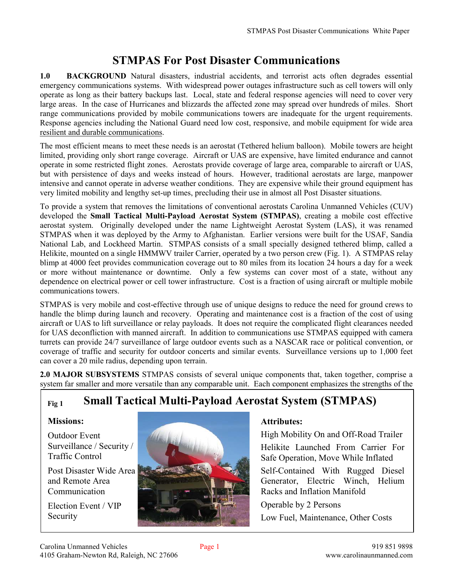# **STMPAS For Post Disaster Communications**

**1.0 BACKGROUND** Natural disasters, industrial accidents, and terrorist acts often degrades essential emergency communications systems. With widespread power outages infrastructure such as cell towers will only operate as long as their battery backups last. Local, state and federal response agencies will need to cover very large areas. In the case of Hurricanes and blizzards the affected zone may spread over hundreds of miles. Short range communications provided by mobile communications towers are inadequate for the urgent requirements. Response agencies including the National Guard need low cost, responsive, and mobile equipment for wide area resilient and durable communications.

The most efficient means to meet these needs is an aerostat (Tethered helium balloon). Mobile towers are height limited, providing only short range coverage. Aircraft or UAS are expensive, have limited endurance and cannot operate in some restricted flight zones. Aerostats provide coverage of large area, comparable to aircraft or UAS, but with persistence of days and weeks instead of hours. However, traditional aerostats are large, manpower intensive and cannot operate in adverse weather conditions. They are expensive while their ground equipment has very limited mobility and lengthy set-up times, precluding their use in almost all Post Disaster situations.

To provide a system that removes the limitations of conventional aerostats Carolina Unmanned Vehicles (CUV) developed the **Small Tactical Multi-Payload Aerostat System (STMPAS)**, creating a mobile cost effective aerostat system. Originally developed under the name Lightweight Aerostat System (LAS), it was renamed STMPAS when it was deployed by the Army to Afghanistan. Earlier versions were built for the USAF, Sandia National Lab, and Lockheed Martin. STMPAS consists of a small specially designed tethered blimp, called a Helikite, mounted on a single HMMWV trailer Carrier, operated by a two person crew (Fig. 1). A STMPAS relay blimp at 4000 feet provides communication coverage out to 80 miles from its location 24 hours a day for a week or more without maintenance or downtime. Only a few systems can cover most of a state, without any dependence on electrical power or cell tower infrastructure. Cost is a fraction of using aircraft or multiple mobile communications towers.

STMPAS is very mobile and cost-effective through use of unique designs to reduce the need for ground crews to handle the blimp during launch and recovery. Operating and maintenance cost is a fraction of the cost of using aircraft or UAS to lift surveillance or relay payloads. It does not require the complicated flight clearances needed for UAS deconfliction with manned aircraft. In addition to communications use STMPAS equipped with camera turrets can provide 24/7 surveillance of large outdoor events such as a NASCAR race or political convention, or coverage of traffic and security for outdoor concerts and similar events. Surveillance versions up to 1,000 feet can cover a 20 mile radius, depending upon terrain.

**2.0 MAJOR SUBSYSTEMS** STMPAS consists of several unique components that, taken together, comprise a system far smaller and more versatile than any comparable unit. Each component emphasizes the strengths of the

# **Fig 1 Small Tactical Multi-Payload Aerostat System (STMPAS)**

#### **Missions:**

Outdoor Event Surveillance / Security / Traffic Control

Post Disaster Wide Area and Remote Area Communication

Election Event / VIP Security



#### **Attributes:**

High Mobility On and Off-Road Trailer Helikite Launched From Carrier For Safe Operation, Move While Inflated

Self-Contained With Rugged Diesel Generator, Electric Winch, Helium Racks and Inflation Manifold

Operable by 2 Persons Low Fuel, Maintenance, Other Costs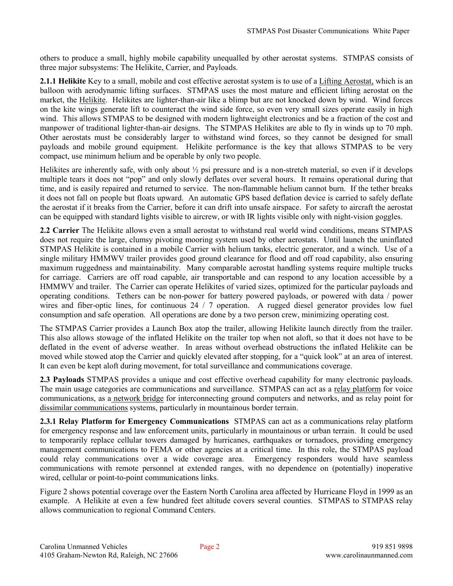others to produce a small, highly mobile capability unequalled by other aerostat systems. STMPAS consists of three major subsystems: The Helikite, Carrier, and Payloads.

**2.1.1 Helikite** Key to a small, mobile and cost effective aerostat system is to use of a Lifting Aerostat, which is an balloon with aerodynamic lifting surfaces. STMPAS uses the most mature and efficient lifting aerostat on the market, the Helikite. Helikites are lighter-than-air like a blimp but are not knocked down by wind. Wind forces on the kite wings generate lift to counteract the wind side force, so even very small sizes operate easily in high wind. This allows STMPAS to be designed with modern lightweight electronics and be a fraction of the cost and manpower of traditional lighter-than-air designs. The STMPAS Helikites are able to fly in winds up to 70 mph. Other aerostats must be considerably larger to withstand wind forces, so they cannot be designed for small payloads and mobile ground equipment. Helikite performance is the key that allows STMPAS to be very compact, use minimum helium and be operable by only two people.

Helikites are inherently safe, with only about ½ psi pressure and is a non-stretch material, so even if it develops multiple tears it does not "pop" and only slowly deflates over several hours. It remains operational during that time, and is easily repaired and returned to service. The non-flammable helium cannot burn. If the tether breaks it does not fall on people but floats upward. An automatic GPS based deflation device is carried to safely deflate the aerostat if it breaks from the Carrier, before it can drift into unsafe airspace. For safety to aircraft the aerostat can be equipped with standard lights visible to aircrew, or with IR lights visible only with night-vision goggles.

**2.2 Carrier** The Helikite allows even a small aerostat to withstand real world wind conditions, means STMPAS does not require the large, clumsy pivoting mooring system used by other aerostats. Until launch the uninflated STMPAS Helikite is contained in a mobile Carrier with helium tanks, electric generator, and a winch. Use of a single military HMMWV trailer provides good ground clearance for flood and off road capability, also ensuring maximum ruggedness and maintainability. Many comparable aerostat handling systems require multiple trucks for carriage. Carriers are off road capable, air transportable and can respond to any location accessible by a HMMWV and trailer. The Carrier can operate Helikites of varied sizes, optimized for the particular payloads and operating conditions. Tethers can be non-power for battery powered payloads, or powered with data / power wires and fiber-optic lines, for continuous 24 / 7 operation. A rugged diesel generator provides low fuel consumption and safe operation. All operations are done by a two person crew, minimizing operating cost.

The STMPAS Carrier provides a Launch Box atop the trailer, allowing Helikite launch directly from the trailer. This also allows stowage of the inflated Helikite on the trailer top when not aloft, so that it does not have to be deflated in the event of adverse weather. In areas without overhead obstructions the inflated Helikite can be moved while stowed atop the Carrier and quickly elevated after stopping, for a "quick look" at an area of interest. It can even be kept aloft during movement, for total surveillance and communications coverage.

**2.3 Payloads** STMPAS provides a unique and cost effective overhead capability for many electronic payloads. The main usage categories are communications and surveillance. STMPAS can act as a relay platform for voice communications, as a network bridge for interconnecting ground computers and networks, and as relay point for dissimilar communications systems, particularly in mountainous border terrain.

**2.3.1 Relay Platform for Emergency Communications** STMPAS can act as a communications relay platform for emergency response and law enforcement units, particularly in mountainous or urban terrain. It could be used to temporarily replace cellular towers damaged by hurricanes, earthquakes or tornadoes, providing emergency management communications to FEMA or other agencies at a critical time. In this role, the STMPAS payload could relay communications over a wide coverage area. Emergency responders would have seamless communications with remote personnel at extended ranges, with no dependence on (potentially) inoperative wired, cellular or point-to-point communications links.

Figure 2 shows potential coverage over the Eastern North Carolina area affected by Hurricane Floyd in 1999 as an example. A Helikite at even a few hundred feet altitude covers several counties. STMPAS to STMPAS relay allows communication to regional Command Centers.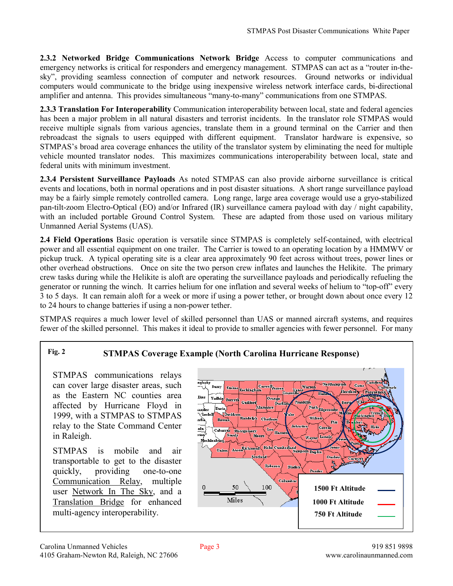**2.3.2 Networked Bridge Communications Network Bridge** Access to computer communications and emergency networks is critical for responders and emergency management. STMPAS can act as a "router in-thesky", providing seamless connection of computer and network resources. Ground networks or individual computers would communicate to the bridge using inexpensive wireless network interface cards, bi-directional amplifier and antenna. This provides simultaneous "many-to-many" communications from one STMPAS.

**2.3.3 Translation For Interoperability** Communication interoperability between local, state and federal agencies has been a major problem in all natural disasters and terrorist incidents. In the translator role STMPAS would receive multiple signals from various agencies, translate them in a ground terminal on the Carrier and then rebroadcast the signals to users equipped with different equipment. Translator hardware is expensive, so STMPAS's broad area coverage enhances the utility of the translator system by eliminating the need for multiple vehicle mounted translator nodes. This maximizes communications interoperability between local, state and federal units with minimum investment.

**2.3.4 Persistent Surveillance Payloads** As noted STMPAS can also provide airborne surveillance is critical events and locations, both in normal operations and in post disaster situations. A short range surveillance payload may be a fairly simple remotely controlled camera. Long range, large area coverage would use a gryo-stabilized pan-tilt-zoom Electro-Optical (EO) and/or Infrared (IR) surveillance camera payload with day / night capability, with an included portable Ground Control System. These are adapted from those used on various military Unmanned Aerial Systems (UAS).

**2.4 Field Operations** Basic operation is versatile since STMPAS is completely self-contained, with electrical power and all essential equipment on one trailer. The Carrier is towed to an operating location by a HMMWV or pickup truck. A typical operating site is a clear area approximately 90 feet across without trees, power lines or other overhead obstructions. Once on site the two person crew inflates and launches the Helikite. The primary crew tasks during while the Helikite is aloft are operating the surveillance payloads and periodically refueling the generator or running the winch. It carries helium for one inflation and several weeks of helium to "top-off" every 3 to 5 days. It can remain aloft for a week or more if using a power tether, or brought down about once every 12 to 24 hours to change batteries if using a non-power tether.

STMPAS requires a much lower level of skilled personnel than UAS or manned aircraft systems, and requires fewer of the skilled personnel. This makes it ideal to provide to smaller agencies with fewer personnel. For many

#### **Fig. 2 STMPAS Coverage Example (North Carolina Hurricane Response)**

STMPAS communications relays can cover large disaster areas, such as the Eastern NC counties area affected by Hurricane Floyd in 1999, with a STMPAS to STMPAS relay to the State Command Center in Raleigh.

STMPAS is mobile and air transportable to get to the disaster quickly, providing one-to-one Communication Relay, multiple user Network In The Sky, and a Translation Bridge for enhanced multi-agency interoperability.

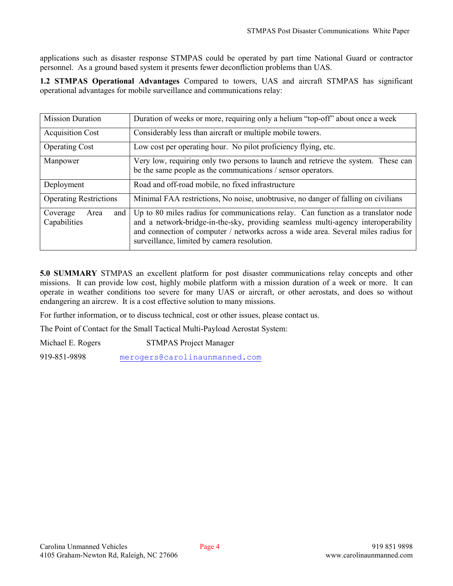applications such as disaster response STMPAS could be operated by part time National Guard or contractor personnel. As a ground based system it presents fewer deconfliction problems than UAS.

**1.2 STMPAS Operational Advantages** Compared to towers, UAS and aircraft STMPAS has significant operational advantages for mobile surveillance and communications relay:

| <b>Mission Duration</b>                   | Duration of weeks or more, requiring only a helium "top-off" about once a week                                                                                                                                                                                                                              |  |
|-------------------------------------------|-------------------------------------------------------------------------------------------------------------------------------------------------------------------------------------------------------------------------------------------------------------------------------------------------------------|--|
| <b>Acquisition Cost</b>                   | Considerably less than aircraft or multiple mobile towers.                                                                                                                                                                                                                                                  |  |
| <b>Operating Cost</b>                     | Low cost per operating hour. No pilot proficiency flying, etc.                                                                                                                                                                                                                                              |  |
| Manpower                                  | Very low, requiring only two persons to launch and retrieve the system. These can<br>be the same people as the communications / sensor operators.                                                                                                                                                           |  |
| Deployment                                | Road and off-road mobile, no fixed infrastructure                                                                                                                                                                                                                                                           |  |
| <b>Operating Restrictions</b>             | Minimal FAA restrictions, No noise, unobtrusive, no danger of falling on civilians                                                                                                                                                                                                                          |  |
| and  <br>Coverage<br>Area<br>Capabilities | Up to 80 miles radius for communications relay. Can function as a translator node<br>and a network-bridge-in-the-sky, providing seamless multi-agency interoperability<br>and connection of computer / networks across a wide area. Several miles radius for<br>surveillance, limited by camera resolution. |  |

**5.0 SUMMARY** STMPAS an excellent platform for post disaster communications relay concepts and other missions. It can provide low cost, highly mobile platform with a mission duration of a week or more. It can operate in weather conditions too severe for many UAS or aircraft, or other aerostats, and does so without endangering an aircrew. It is a cost effective solution to many missions.

For further information, or to discuss technical, cost or other issues, please contact us.

The Point of Contact for the Small Tactical Multi-Payload Aerostat System:

Michael E. Rogers STMPAS Project Manager 919-851-9898 merogers@carolinaunmanned.com